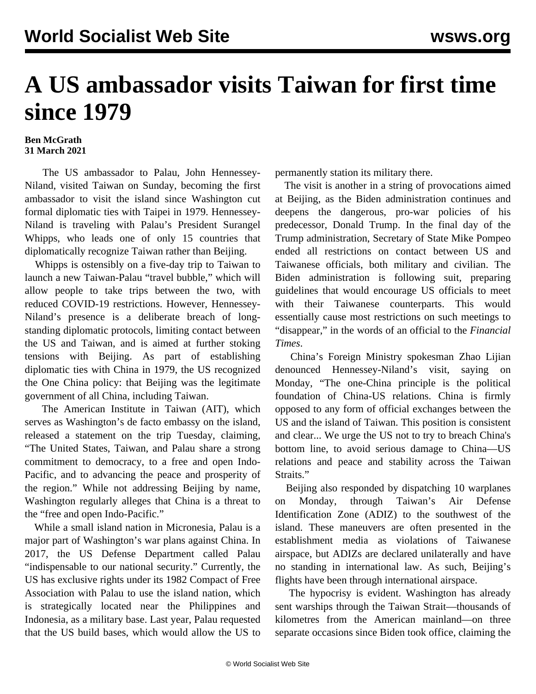## **A US ambassador visits Taiwan for first time since 1979**

## **Ben McGrath 31 March 2021**

 The US ambassador to Palau, John Hennessey-Niland, visited Taiwan on Sunday, becoming the first ambassador to visit the island since Washington cut formal diplomatic ties with Taipei in 1979. Hennessey-Niland is traveling with Palau's President Surangel Whipps, who leads one of only 15 countries that diplomatically recognize Taiwan rather than Beijing.

 Whipps is ostensibly on a five-day trip to Taiwan to launch a new Taiwan-Palau "travel bubble," which will allow people to take trips between the two, with reduced COVID-19 restrictions. However, Hennessey-Niland's presence is a deliberate breach of longstanding diplomatic protocols, limiting contact between the US and Taiwan, and is aimed at further stoking tensions with Beijing. As part of establishing diplomatic ties with China in 1979, the US recognized the One China policy: that Beijing was the legitimate government of all China, including Taiwan.

 The American Institute in Taiwan (AIT), which serves as Washington's de facto embassy on the island, released a statement on the trip Tuesday, claiming, "The United States, Taiwan, and Palau share a strong commitment to democracy, to a free and open Indo-Pacific, and to advancing the peace and prosperity of the region." While not addressing Beijing by name, Washington regularly alleges that China is a threat to the "free and open Indo-Pacific."

 While a small island nation in Micronesia, Palau is a major part of Washington's war plans against China. In 2017, the US Defense Department called Palau "indispensable to our national security." Currently, the US has exclusive rights under its 1982 Compact of Free Association with Palau to use the island nation, which is strategically located near the Philippines and Indonesia, as a military base. Last year, Palau requested that the US build bases, which would allow the US to

permanently station its military there.

 The visit is another in a string of provocations aimed at Beijing, as the Biden administration continues and deepens the dangerous, pro-war policies of his predecessor, Donald Trump. In the final day of the Trump administration, Secretary of State Mike Pompeo ended all restrictions on contact between US and Taiwanese officials, both military and civilian. The Biden administration is following suit, preparing guidelines that would encourage US officials to meet with their Taiwanese counterparts. This would essentially cause most restrictions on such meetings to "disappear," in the words of an official to the *Financial Times*.

 China's Foreign Ministry spokesman Zhao Lijian denounced Hennessey-Niland's visit, saying on Monday, "The one-China principle is the political foundation of China-US relations. China is firmly opposed to any form of official exchanges between the US and the island of Taiwan. This position is consistent and clear... We urge the US not to try to breach China's bottom line, to avoid serious damage to China—US relations and peace and stability across the Taiwan Straits."

 Beijing also responded by dispatching 10 warplanes on Monday, through Taiwan's Air Defense Identification Zone (ADIZ) to the southwest of the island. These maneuvers are often presented in the establishment media as violations of Taiwanese airspace, but ADIZs are declared unilaterally and have no standing in international law. As such, Beijing's flights have been through international airspace.

 The hypocrisy is evident. Washington has already sent warships through the Taiwan Strait—thousands of kilometres from the American mainland—on three separate occasions since Biden took office, claiming the